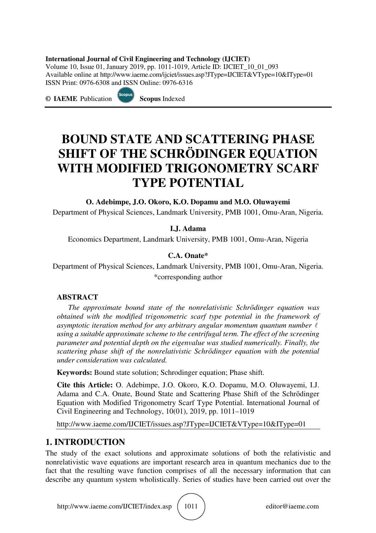#### **International Journal of Civil Engineering and Technology (IJCIET)**

Volume 10, Issue 01, January 2019, pp. 1011-1019, Article ID: IJCIET\_10\_01\_093 Available online at http://www.iaeme.com/ijciet/issues.asp?JType=IJCIET&VType=10&IType=01 ISSN Print: 0976-6308 and ISSN Online: 0976-6316

**© IAEME** Publication **Scopus** Indexed

# **BOUND STATE AND SCATTERING PHASE SHIFT OF THE SCHRӦDINGER EQUATION WITH MODIFIED TRIGONOMETRY SCARF TYPE POTENTIAL**

**O. Adebimpe, J.O. Okoro, K.O. Dopamu and M.O. Oluwayemi** 

Department of Physical Sciences, Landmark University, PMB 1001, Omu-Aran, Nigeria.

**I.J. Adama** 

Economics Department, Landmark University, PMB 1001, Omu-Aran, Nigeria

#### **C.A. Onate\***

Department of Physical Sciences, Landmark University, PMB 1001, Omu-Aran, Nigeria. \*corresponding author

#### **ABSTRACT**

*The approximate bound state of the nonrelativistic Schrӧdinger equation was obtained with the modified trigonometric scarf type potential in the framework of asymptotic iteration method for any arbitrary angular momentum quantum number* l *using a suitable approximate scheme to the centrifugal term. The effect of the screening parameter and potential depth on the eigenvalue was studied numerically. Finally, the scattering phase shift of the nonrelativistic Schrӧdinger equation with the potential under consideration was calculated.* 

**Keywords:** Bound state solution; Schrodinger equation; Phase shift.

**Cite this Article:** O. Adebimpe, J.O. Okoro, K.O. Dopamu, M.O. Oluwayemi, I.J. Adama and C.A. Onate, Bound State and Scattering Phase Shift of the Schrӧdinger Equation with Modified Trigonometry Scarf Type Potential. International Journal of Civil Engineering and Technology, 10(01), 2019, pp. 1011–1019

http://www.iaeme.com/IJCIET/issues.asp?JType=IJCIET&VType=10&IType=01

## **1. INTRODUCTION**

The study of the exact solutions and approximate solutions of both the relativistic and nonrelativistic wave equations are important research area in quantum mechanics due to the fact that the resulting wave function comprises of all the necessary information that can describe any quantum system wholistically. Series of studies have been carried out over the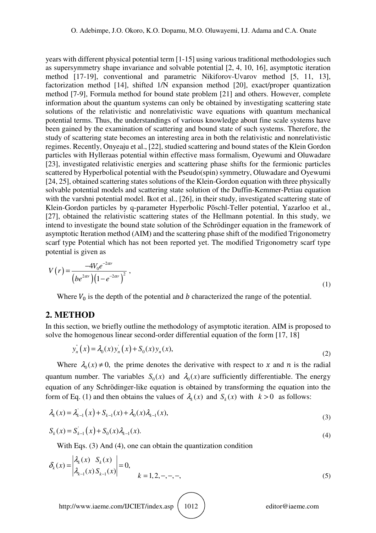years with different physical potential term [1-15] using various traditional methodologies such as supersymmetry shape invariance and solvable potential [2, 4, 10, 16], asymptotic iteration method [17-19], conventional and parametric Nikiforov-Uvarov method [5, 11, 13], factorization method [14], shifted 1/N expansion method [20], exact/proper quantization method [7-9], Formula method for bound state problem [21] and others. However, complete information about the quantum systems can only be obtained by investigating scattering state solutions of the relativistic and nonrelativistic wave equations with quantum mechanical potential terms. Thus, the understandings of various knowledge about fine scale systems have been gained by the examination of scattering and bound state of such systems. Therefore, the study of scattering state becomes an interesting area in both the relativistic and nonrelativistic regimes. Recently, Onyeaju et al., [22], studied scattering and bound states of the Klein Gordon particles with Hylleraas potential within effective mass formalism, Oyewumi and Oluwadare [23], investigated relativistic energies and scattering phase shifts for the fermionic particles scattered by Hyperbolical potential with the Pseudo(spin) symmetry, Oluwadare and Oyewumi [24, 25], obtained scattering states solutions of the Klein-Gordon equation with three physically solvable potential models and scattering state solution of the Duffin-Kemmer-Petiau equation with the varshni potential model. Ikot et al., [26], in their study, investigated scattering state of Klein-Gordon particles by q-parameter Hyperbolic Pöschl-Teller potential, Yazarloo et al., [27], obtained the relativistic scattering states of the Hellmann potential. In this study, we intend to investigate the bound state solution of the Schrӧdinger equation in the framework of asymptotic Iteration method (AIM) and the scattering phase shift of the modified Trigonometry scarf type Potential which has not been reported yet. The modified Trigonometry scarf type potential is given as

$$
V(r) = \frac{-4V_0 e^{-2\alpha r}}{\left(b e^{2\alpha r}\right)\left(1 - e^{-2\alpha r}\right)^2} \,,\tag{1}
$$

Where  $V_0$  is the depth of the potential and  $b$  characterized the range of the potential.

#### **2. METHOD**

In this section, we briefly outline the methodology of asymptotic iteration. AIM is proposed to solve the homogenous linear second-order differential equation of the form [17, 18]

$$
y_n(x) = \lambda_0(x) y_n(x) + S_0(x) y_n(x),
$$
\n(2)

Where  $\lambda_0$  (x)  $\neq$  0, the prime denotes the derivative with respect to x and n is the radial quantum number. The variables  $S_0(x)$  and  $\lambda_0(x)$  are sufficiently differentiable. The energy equation of any Schrӧdinger-like equation is obtained by transforming the equation into the form of Eq. (1) and then obtains the values of  $\lambda_k(x)$  and  $S_k(x)$  with  $k > 0$  as follows:

$$
\lambda_k(x) = \lambda_{k-1}^{\prime}(x) + S_{k-1}(x) + \lambda_0(x)\lambda_{k-1}(x),
$$
\n(3)

$$
S_k(x) = S_{k-1}'(x) + S_0(x)\lambda_{k-1}(x).
$$
\n(4)

With Eqs. (3) And (4), one can obtain the quantization condition

$$
\delta_k(x) = \left| \frac{\lambda_k(x) S_k(x)}{\lambda_{k-1}(x) S_{k-1}(x)} \right| = 0, \qquad k = 1, 2, -, -, -, \tag{5}
$$

http://www.iaeme.com/IJCIET/index.asp | 1012 | editor@iaeme.com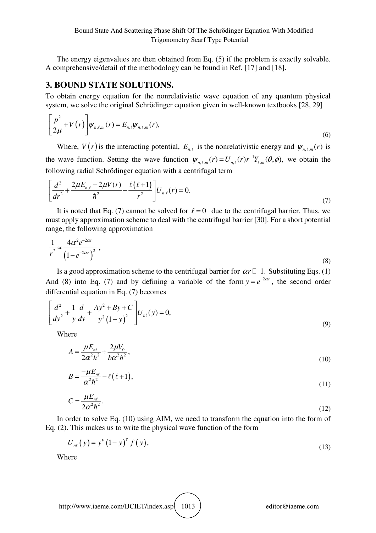The energy eigenvalues are then obtained from Eq. (5) if the problem is exactly solvable. A comprehensive/detail of the methodology can be found in Ref. [17] and [18].

## **3. BOUND STATE SOLUTIONS.**

To obtain energy equation for the nonrelativistic wave equation of any quantum physical system, we solve the original Schrödinger equation given in well-known textbooks [28, 29]

$$
\left[\frac{p^2}{2\mu} + V(r)\right]\psi_{n,\ell,m}(r) = E_{n,\ell}\psi_{n,\ell,m}(r),\tag{6}
$$

Where,  $V(r)$  is the interacting potential,  $E_{n,\ell}$  is the nonrelativistic energy and  $\psi_{n,\ell,m}(r)$  is the wave function. Setting the wave function  $\psi_{n,\ell,m}(r) = U_{n,\ell}(r)r^{-1}Y_{\ell,m}(\theta,\phi)$ , we obtain the following radial Schrödinger equation with a centrifugal term

$$
\left[\frac{d^2}{dr^2} + \frac{2\mu E_{n,\ell} - 2\mu V(r)}{\hbar^2} - \frac{\ell(\ell+1)}{r^2}\right]U_{n,\ell}(r) = 0.
$$
\n(7)

It is noted that Eq. (7) cannot be solved for  $\ell = 0$  due to the centrifugal barrier. Thus, we must apply approximation scheme to deal with the centrifugal barrier [30]. For a short potential range, the following approximation

$$
\frac{1}{r^2} \approx \frac{4\alpha^2 e^{-2\alpha r}}{\left(1 - e^{-2\alpha r}\right)^2} \,,\tag{8}
$$

Is a good approximation scheme to the centrifugal barrier for  $\alpha r \Box 1$ . Substituting Eqs. (1) And (8) into Eq. (7) and by defining a variable of the form  $y = e^{-2\alpha r}$ , the second order differential equation in Eq. (7) becomes

$$
\left[\frac{d^2}{dy^2} + \frac{1}{y}\frac{d}{dy} + \frac{Ay^2 + By + C}{y^2(1 - y)^2}\right]U_{n\ell}(y) = 0,
$$
\n(9)

Where

$$
A = \frac{\mu E_{n\ell}}{2\alpha^2 \hbar^2} + \frac{2\mu V_0}{b\alpha^2 \hbar^2},\tag{10}
$$

$$
B = \frac{-\mu E_{n\ell}}{\alpha^2 \hbar^2} - \ell(\ell+1),\tag{11}
$$

$$
C = \frac{\mu E_{n\ell}}{2\alpha^2 \hbar^2}.
$$
 (12)

In order to solve Eq. (10) using AIM, we need to transform the equation into the form of Eq. (2). This makes us to write the physical wave function of the form

$$
U_{n\ell}(y) = y^{\nu} (1-y)^{\gamma} f(y), \tag{13}
$$

Where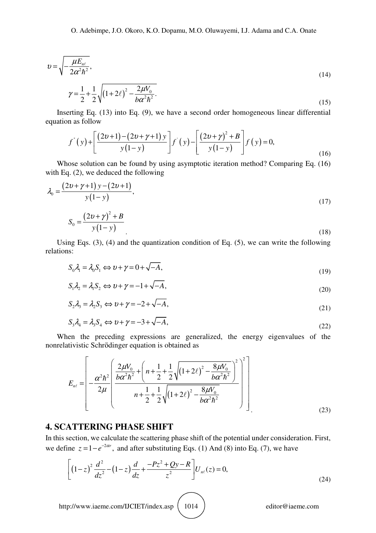$$
v = \sqrt{-\frac{\mu E_{n\ell}}{2\alpha^2 \hbar^2}},
$$
\n
$$
\gamma = \frac{1}{2} + \frac{1}{2} \sqrt{(1 + 2\ell)^2 - \frac{2\mu V_0}{b\alpha^2 \hbar^2}}.
$$
\n(14)

Inserting Eq. (13) into Eq. (9), we have a second order homogeneous linear differential equation as follow

$$
f'(y) + \left[ \frac{(2v+1) - (2v + \gamma + 1) y}{y(1-y)} \right] f'(y) - \left[ \frac{(2v + \gamma)^2 + B}{y(1-y)} \right] f(y) = 0,
$$
\n(16)

Whose solution can be found by using asymptotic iteration method? Comparing Eq. (16) with Eq. (2), we deduced the following

$$
\lambda_0 = \frac{(2v + \gamma + 1) y - (2v + 1)}{y(1 - y)},
$$
\n
$$
S_0 = \frac{(2v + \gamma)^2 + B}{y(1 - y)}.
$$
\n(17)

Using Eqs. (3), (4) and the quantization condition of Eq. (5), we can write the following relations:

$$
S_0 \lambda_1 = \lambda_0 S_1 \Longleftrightarrow \nu + \gamma = 0 + \sqrt{-A}, \tag{19}
$$

$$
S_1 \lambda_2 = \lambda_1 S_2 \Leftrightarrow \nu + \gamma = -1 + \sqrt{-A}, \tag{20}
$$

$$
S_2 \lambda_3 = \lambda_2 S_3 \Leftrightarrow \nu + \gamma = -2 + \sqrt{-A},\tag{21}
$$

$$
S_3 \lambda_4 = \lambda_3 S_4 \Leftrightarrow \nu + \gamma = -3 + \sqrt{-A}, \tag{22}
$$

When the preceding expressions are generalized, the energy eigenvalues of the nonrelativistic Schrӧdinger equation is obtained as

$$
E_{n\ell} = \left[ -\frac{\alpha^2 \hbar^2}{2\mu} \left( \frac{\frac{2\mu V_0}{b\alpha^2 \hbar^2} + \left( n + \frac{1}{2} + \frac{1}{2} \sqrt{\left( 1 + 2\ell \right)^2 - \frac{8\mu V_0}{b\alpha^2 \hbar^2}} \right)^2}{n + \frac{1}{2} + \frac{1}{2} \sqrt{\left( 1 + 2\ell \right)^2 - \frac{8\mu V_0}{b\alpha^2 \hbar^2}} \right) \right] \tag{23}
$$

#### **4. SCATTERING PHASE SHIFT**

In this section, we calculate the scattering phase shift of the potential under consideration. First, we define  $z = 1 - e^{-2\alpha r}$ , and after substituting Eqs. (1) And (8) into Eq. (7), we have

$$
\left[ \left( 1 - z \right)^2 \frac{d^2}{dz^2} - \left( 1 - z \right) \frac{d}{dz} + \frac{-Pz^2 + Qy - R}{z^2} \right] U_{n\ell}(z) = 0, \tag{24}
$$

http://www.iaeme.com/IJCIET/index.asp  $\begin{pmatrix} 1014 \end{pmatrix}$  editor@iaeme.com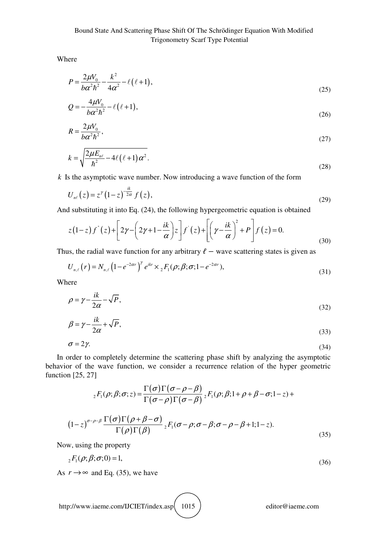Where

$$
P = \frac{2\mu V_0}{b\alpha^2 h^2} - \frac{k^2}{4\alpha^2} - \ell(\ell+1),
$$
\n(25)

$$
Q = -\frac{4\mu V_0}{b\alpha^2 \hbar^2} - \ell(\ell+1),\tag{26}
$$

$$
R = \frac{2\mu V_0}{b\alpha^2 \hbar^2},\tag{27}
$$

$$
k = \sqrt{\frac{2\mu E_{n\ell}}{\hbar^2} - 4\ell\left(\ell + 1\right)\alpha^2}.
$$
\n(28)

*k* Is the asymptotic wave number. Now introducing a wave function of the form

$$
U_{n\ell}(z) = z^{\gamma} (1-z)^{-\frac{ik}{2\alpha}} f(z), \qquad (29)
$$

And substituting it into Eq. (24), the following hypergeometric equation is obtained

$$
z(1-z)f^{*}(z)+\left[2\gamma-\left(2\gamma+1-\frac{ik}{\alpha}\right)z\right]f^{*}(z)+\left[\left(\gamma-\frac{ik}{\alpha}\right)^{2}+P\right]f(z)=0.
$$
\n(30)

Thus, the radial wave function for any arbitrary  $\ell$  – wave scattering states is given as

$$
U_{n,\ell}(r) = N_{n,\ell} \left(1 - e^{-2\alpha r}\right)^{\gamma} e^{ikr} \times {}_{2}F_{1}(\rho;\beta;\sigma;1 - e^{-2\alpha r}), \tag{31}
$$

Where

$$
\rho = \gamma - \frac{ik}{2\alpha} - \sqrt{P},\tag{32}
$$

$$
\beta = \gamma - \frac{ik}{2\alpha} + \sqrt{P},\tag{33}
$$

$$
\sigma = 2\gamma. \tag{34}
$$

In order to completely determine the scattering phase shift by analyzing the asymptotic behavior of the wave function, we consider a recurrence relation of the hyper geometric function [25, 27]

$$
{}_{2}F_{1}(\rho;\beta;\sigma;z) = \frac{\Gamma(\sigma)\Gamma(\sigma-\rho-\beta)}{\Gamma(\sigma-\rho)\Gamma(\sigma-\beta)} {}_{2}F_{1}(\rho;\beta;1+\rho+\beta-\sigma;1-z) +
$$

$$
(1-z)^{\sigma-\rho-\beta} \frac{\Gamma(\sigma)\Gamma(\rho+\beta-\sigma)}{\Gamma(\rho)\Gamma(\beta)} {}_{2}F_{1}(\sigma-\rho;\sigma-\beta;\sigma-\rho-\beta+1;1-z). \tag{35}
$$

Now, using the property

$$
{}_{2}F_{1}(\rho;\beta;\sigma;0) = 1, \tag{36}
$$

As  $r \rightarrow \infty$  and Eq. (35), we have

http://www.iaeme.com/IJCIET/index.asp 1015 editor@iaeme.com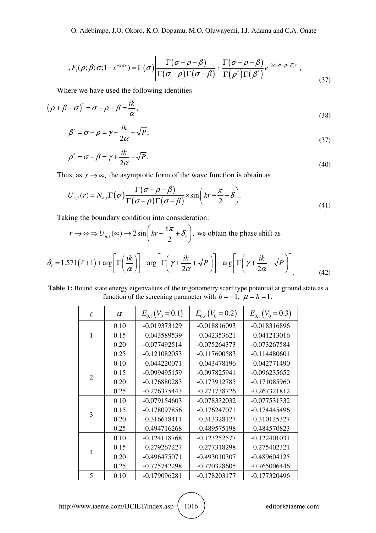$$
{}_{2}F_{1}(\rho;\beta;\sigma;1-e^{-2\alpha r})=\Gamma(\sigma)\left|\frac{\Gamma(\sigma-\rho-\beta)}{\Gamma(\sigma-\rho)\Gamma(\sigma-\beta)}+\frac{\Gamma(\sigma-\rho-\beta)}{\Gamma(\rho^{*})\Gamma(\beta^{*})}e^{-2\alpha(\sigma-\rho-\beta)r}\right|,
$$
\n(37)

Where we have used the following identities

$$
(\rho + \beta - \sigma)^* = \sigma - \rho - \beta = \frac{ik}{\alpha},
$$
\n(38)

$$
\beta^* = \sigma - \rho = \gamma + \frac{ik}{2\alpha} + \sqrt{P},\tag{37}
$$

$$
\rho^* = \sigma - \beta = \gamma + \frac{ik}{2\alpha} - \sqrt{P}.\tag{40}
$$

Thus, as  $r \rightarrow \infty$ , the asymptotic form of the wave function is obtain as

$$
U_{n,\ell}(r) = N_{n,\ell} \Gamma(\sigma) \frac{\Gamma(\sigma - \rho - \beta)}{\Gamma(\sigma - \rho) \Gamma(\sigma - \beta)} \times \sin\left(kr + \frac{\pi}{2} + \delta\right).
$$
\n(41)

Taking the boundary condition into consideration:

$$
r \to \infty
$$
  $\Rightarrow$   $U_{n,\ell}(\infty) \to 2\sin\left(kr - \frac{\ell\pi}{2} + \delta_{\ell}\right)$ , we obtain the phase shift as

$$
\delta_{\ell} = 1.571(\ell+1) + \arg\left[\Gamma\left(\frac{ik}{\alpha}\right)\right] - \arg\left[\Gamma\left(\gamma + \frac{ik}{2\alpha} + \sqrt{P}\right)\right] - \arg\left[\Gamma\left(\gamma + \frac{ik}{2\alpha} - \sqrt{P}\right)\right]
$$
(42)

**Table 1:** Bound state energy eigenvalues of the trigonometry scarf type potential at ground state as a function of the screening parameter with  $b = -1$ ,  $\mu = \hbar = 1$ .

| $\ell$         | $\alpha$ | $E_{0,\ell}(V_0=0.1)$ | $E_{0\ell}(V_0=0.2)$ | $E_{0,\ell}(V_0=0.3)$ |
|----------------|----------|-----------------------|----------------------|-----------------------|
| $\mathbf{1}$   | 0.10     | $-0.019373129$        | $-0.018816093$       | $-0.018316896$        |
|                | 0.15     | -0.043589539          | $-0.042353621$       | $-0.041213016$        |
|                | 0.20     | $-0.077492514$        | $-0.075264373$       | $-0.073267584$        |
|                | 0.25     | $-0.121082053$        | $-0.117600583$       | $-0.114480601$        |
| $\mathfrak{D}$ | 0.10     | $-0.044220071$        | $-0.043478196$       | $-0.042771490$        |
|                | 0.15     | $-0.099495159$        | $-0.097825941$       | $-0.096235652$        |
|                | 0.20     | $-0.176880283$        | $-0.173912785$       | $-0.171085960$        |
|                | 0.25     | $-0.276375443$        | $-0.271738726$       | $-0.267321812$        |
| 3              | 0.10     | $-0.079154603$        | $-0.078332032$       | $-0.077531332$        |
|                | 0.15     | $-0.178097856$        | $-0.176247071$       | $-0.174445496$        |
|                | 0.20     | $-0.316618411$        | $-0.313328127$       | $-0.310125327$        |
|                | 0.25     | $-0.494716268$        | -0.489575198         | $-0.484570823$        |
| 4              | 0.10     | $-0.124118768$        | $-0.123252577$       | $-0.122401031$        |
|                | 0.15     | $-0.279267227$        | $-0.277318298$       | $-0.275402321$        |
|                | 0.20     | $-0.496475071$        | $-0.493010307$       | $-0.489604125$        |
|                | 0.25     | $-0.775742298$        | $-0.770328605$       | $-0.765006446$        |
| 5              | 0.10     | $-0.179096281$        | $-0.178203177$       | $-0.177320496$        |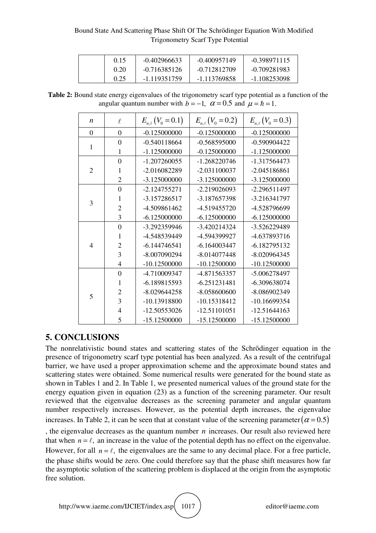#### Bound State And Scattering Phase Shift Of The Schrӧdinger Equation With Modified Trigonometry Scarf Type Potential

| 0.15 | $-0.402966633$ | $-0.400957149$ | $-0.398971115$ |
|------|----------------|----------------|----------------|
| 0.20 | $-0.716385126$ | -0.712812709   | -0.709281983   |
| 0.25 | -1.119351759   | -1.113769858   | -1.108253098   |

**Table 2:** Bound state energy eigenvalues of the trigonometry scarf type potential as a function of the angular quantum number with  $b = -1$ ,  $\alpha = 0.5$  and  $\mu = \hbar = 1$ .

| $\boldsymbol{n}$ | $\ell$         | $E_{n,\ell}(V_0 = 0.1)$ | $E_{n,\ell}(V_0 = 0.2)$ | $E_{n,\ell}(V_0 = 0.3)$ |
|------------------|----------------|-------------------------|-------------------------|-------------------------|
| $\boldsymbol{0}$ | $\overline{0}$ | $-0.125000000$          | $-0.125000000$          | $-0.125000000$          |
| $\mathbf{1}$     | $\overline{0}$ | $-0.540118664$          | $-0.568595000$          | $-0.590904422$          |
|                  | 1              | $-1.125000000$          | $-0.125000000$          | $-1.125000000$          |
| $\overline{2}$   | $\overline{0}$ | $-1.207260055$          | $-1.268220746$          | -1.317564473            |
|                  | 1              | -2.016082289            | $-2.031100037$          | $-2.045186861$          |
|                  | $\overline{2}$ | -3.125000000            | $-3.125000000$          | -3.125000000            |
| 3                | $\overline{0}$ | $-2.124755271$          | $-2.219026093$          | $-2.296511497$          |
|                  | 1              | -3.157286517            | -3.187657398            | -3.216341797            |
|                  | $\overline{2}$ | -4.509861462            | -4.519455720            | -4.528796699            |
|                  | $\overline{3}$ | $-6.125000000$          | $-6.125000000$          | $-6.125000000$          |
| $\overline{4}$   | $\overline{0}$ | -3.292359946            | $-3.420214324$          | -3.526229489            |
|                  | $\mathbf{1}$   | -4.548539449            | -4.594399927            | -4.637893716            |
|                  | $\overline{c}$ | $-6.144746541$          | $-6.164003447$          | $-6.182795132$          |
|                  | $\overline{3}$ | $-8.007090294$          | $-8.014077448$          | $-8.020964345$          |
|                  | $\overline{4}$ | $-10.12500000$          | $-10.12500000$          | $-10.12500000$          |
| 5                | $\overline{0}$ | -4.710009347            | -4.871563357            | -5.006278497            |
|                  | 1              | -6.189815593            | $-6.251231481$          | -6.309638074            |
|                  | $\overline{c}$ | $-8.029644258$          | $-8.058600600$          | -8.086902349            |
|                  | 3              | -10.13918800            | $-10.15318412$          | -10.16699354            |
|                  | $\overline{4}$ | -12.50553026            | $-12.51101051$          | $-12.51644163$          |
|                  | 5              | $-15.12500000$          | $-15.12500000$          | $-15.12500000$          |

## **5. CONCLUSIONS**

The nonrelativistic bound states and scattering states of the Schrödinger equation in the presence of trigonometry scarf type potential has been analyzed. As a result of the centrifugal barrier, we have used a proper approximation scheme and the approximate bound states and scattering states were obtained. Some numerical results were generated for the bound state as shown in Tables 1 and 2. In Table 1, we presented numerical values of the ground state for the energy equation given in equation (23) as a function of the screening parameter. Our result reviewed that the eigenvalue decreases as the screening parameter and angular quantum number respectively increases. However, as the potential depth increases, the eigenvalue increases. In Table 2, it can be seen that at constant value of the screening parameter( $\alpha$  = 0.5) , the eigenvalue decreases as the quantum number *n* increases. Our result also reviewed here that when  $n = \ell$ , an increase in the value of the potential depth has no effect on the eigenvalue. However, for all  $n = \ell$ , the eigenvalues are the same to any decimal place. For a free particle, the phase shifts would be zero. One could therefore say that the phase shift measures how far the asymptotic solution of the scattering problem is displaced at the origin from the asymptotic free solution.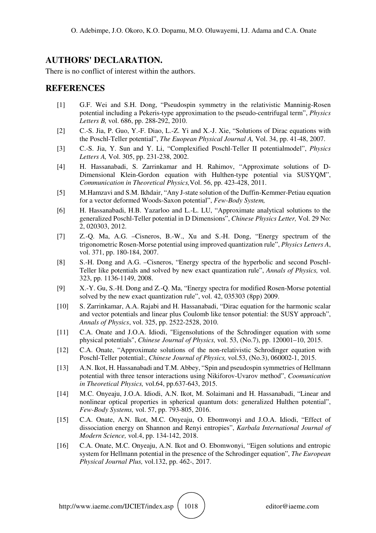## **AUTHORS' DECLARATION.**

There is no conflict of interest within the authors.

### **REFERENCES**

- [1] G.F. Wei and S.H. Dong, "Pseudospin symmetry in the relativistic Manninig-Rosen potential including a Pekeris-type approximation to the pseudo-centrifugal term", *Physics Letters B,* vol. 686, pp. 288-292, 2010.
- [2] C.-S. Jia, P. Guo, Y.-F. Diao, L.-Z. Yi and X.-J. Xie, "Solutions of Dirac equations with the Poschl-Teller potential", *The Euopean Physical Journal A,* Vol. 34, pp. 41-48, 2007.
- [3] C.-S. Jia, Y. Sun and Y. Li, "Complexified Poschl-Teller II potentialmodel", *Physics Letters A,* Vol. 305, pp. 231-238, 2002.
- [4] H. Hassanabadi, S. Zarrinkamar and H. Rahimov, "Approximate solutions of D-Dimensional Klein-Gordon equation with Hulthen-type potential via SUSYQM", *Communication in Theoretical Physics,*Vol. 56, pp. 423-428, 2011.
- [5] M.Hamzavi and S.M. Ikhdair, "Any J-state solution of the Duffin-Kemmer-Petiau equation for a vector deformed Woods-Saxon potential", *Few-Body System,*
- [6] H. Hassanabadi, H.B. Yazarloo and L.-L. LU, "Approximate analytical solutions to the generalized Poschl-Teller potential in D Dimensions", *Chinese Physics Letter,* Vol. 29 No: 2, 020303, 2012.
- [7] Z.-Q. Ma, A.G. –Cisneros, B.-W., Xu and S.-H. Dong, "Energy spectrum of the trigonometric Rosen-Morse potential using improved quantization rule", *Physics Letters A*, vol. 371, pp. 180-184, 2007.
- [8] S.-H. Dong and A.G. –Cisneros, "Energy spectra of the hyperbolic and second Poschl-Teller like potentials and solved by new exact quantization rule", *Annals of Physics,* vol. 323, pp. 1136-1149, 2008.
- [9] X.-Y. Gu, S.-H. Dong and Z.-Q. Ma, "Energy spectra for modified Rosen-Morse potential solved by the new exact quantization rule", vol. 42, 035303 (8pp) 2009.
- [10] S. Zarrinkamar, A.A. Rajabi and H. Hassanabadi, "Dirac equation for the harmonic scalar and vector potentials and linear plus Coulomb like tensor potential: the SUSY approach", *Annals of Physics*, vol. 325, pp. 2522-2528, 2010.
- [11] C.A. Onate and J.O.A. Idiodi, "Eigensolutions of the Schrodinger equation with some physical potentials", *Chinese Journal of Physics,* vol. 53, (No.7), pp. 120001–10, 2015.
- [12] C.A. Onate, "Approximate solutions of the non-relativistic Schrodinger equation with Poschl-Teller potential:, *Chinese Journal of Physics,* vol.53, (No.3), 060002-1, 2015.
- [13] A.N. Ikot, H. Hassanabadi and T.M. Abbey, "Spin and pseudospin symmetries of Hellmann potential with three tensor interactions using Nikiforov-Uvarov method", *Coomunication in Theoretical Physics,* vol.64, pp.637-643, 2015.
- [14] M.C. Onyeaju, J.O.A. Idiodi, A.N. Ikot, M. Solaimani and H. Hassanabadi, "Linear and nonlinear optical properties in spherical quantum dots: generalized Hulthen potential", *Few-Body Systems,* vol. 57, pp. 793-805, 2016.
- [15] C.A. Onate, A.N. Ikot, M.C. Onyeaju, O. Ebomwonyi and J.O.A. Idiodi, "Effect of dissociation energy on Shannon and Renyi entropies", *Karbala International Journal of Modern Science,* vol.4, pp. 134-142, 2018.
- [16] C.A. Onate, M.C. Onyeaju, A.N. Ikot and O. Ebomwonyi, "Eigen solutions and entropic system for Hellmann potential in the presence of the Schrodinger equation", *The European Physical Journal Plus,* vol.132, pp. 462-, 2017.